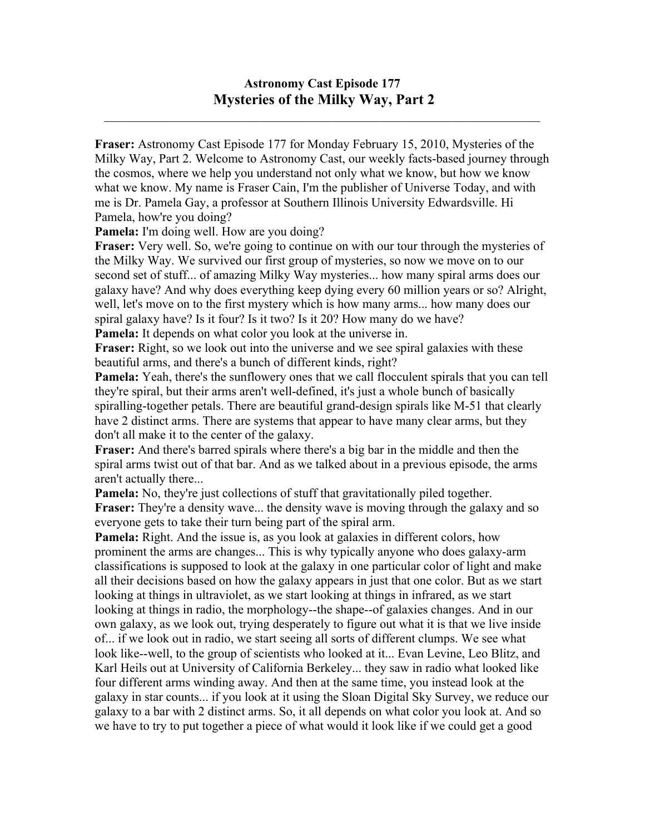## **Astronomy Cast Episode 177 Mysteries of the Milky Way, Part 2**

 $\mathcal{L}_\mathcal{L} = \mathcal{L}_\mathcal{L} = \mathcal{L}_\mathcal{L} = \mathcal{L}_\mathcal{L} = \mathcal{L}_\mathcal{L} = \mathcal{L}_\mathcal{L} = \mathcal{L}_\mathcal{L} = \mathcal{L}_\mathcal{L} = \mathcal{L}_\mathcal{L} = \mathcal{L}_\mathcal{L} = \mathcal{L}_\mathcal{L} = \mathcal{L}_\mathcal{L} = \mathcal{L}_\mathcal{L} = \mathcal{L}_\mathcal{L} = \mathcal{L}_\mathcal{L} = \mathcal{L}_\mathcal{L} = \mathcal{L}_\mathcal{L}$ 

**Fraser:** Astronomy Cast Episode 177 for Monday February 15, 2010, Mysteries of the Milky Way, Part 2. Welcome to Astronomy Cast, our weekly facts-based journey through the cosmos, where we help you understand not only what we know, but how we know what we know. My name is Fraser Cain, I'm the publisher of Universe Today, and with me is Dr. Pamela Gay, a professor at Southern Illinois University Edwardsville. Hi Pamela, how're you doing?

**Pamela:** I'm doing well. How are you doing?

**Fraser:** Very well. So, we're going to continue on with our tour through the mysteries of the Milky Way. We survived our first group of mysteries, so now we move on to our second set of stuff... of amazing Milky Way mysteries... how many spiral arms does our galaxy have? And why does everything keep dying every 60 million years or so? Alright, well, let's move on to the first mystery which is how many arms... how many does our spiral galaxy have? Is it four? Is it two? Is it 20? How many do we have?

**Pamela:** It depends on what color you look at the universe in.

**Fraser:** Right, so we look out into the universe and we see spiral galaxies with these beautiful arms, and there's a bunch of different kinds, right?

**Pamela:** Yeah, there's the sunflowery ones that we call flocculent spirals that you can tell they're spiral, but their arms aren't well-defined, it's just a whole bunch of basically spiralling-together petals. There are beautiful grand-design spirals like M-51 that clearly have 2 distinct arms. There are systems that appear to have many clear arms, but they don't all make it to the center of the galaxy.

**Fraser:** And there's barred spirals where there's a big bar in the middle and then the spiral arms twist out of that bar. And as we talked about in a previous episode, the arms aren't actually there...

**Pamela:** No, they're just collections of stuff that gravitationally piled together.

**Fraser:** They're a density wave... the density wave is moving through the galaxy and so everyone gets to take their turn being part of the spiral arm.

**Pamela:** Right. And the issue is, as you look at galaxies in different colors, how prominent the arms are changes... This is why typically anyone who does galaxy-arm classifications is supposed to look at the galaxy in one particular color of light and make all their decisions based on how the galaxy appears in just that one color. But as we start looking at things in ultraviolet, as we start looking at things in infrared, as we start looking at things in radio, the morphology--the shape--of galaxies changes. And in our own galaxy, as we look out, trying desperately to figure out what it is that we live inside of... if we look out in radio, we start seeing all sorts of different clumps. We see what look like--well, to the group of scientists who looked at it... Evan Levine, Leo Blitz, and Karl Heils out at University of California Berkeley... they saw in radio what looked like four different arms winding away. And then at the same time, you instead look at the galaxy in star counts... if you look at it using the Sloan Digital Sky Survey, we reduce our galaxy to a bar with 2 distinct arms. So, it all depends on what color you look at. And so we have to try to put together a piece of what would it look like if we could get a good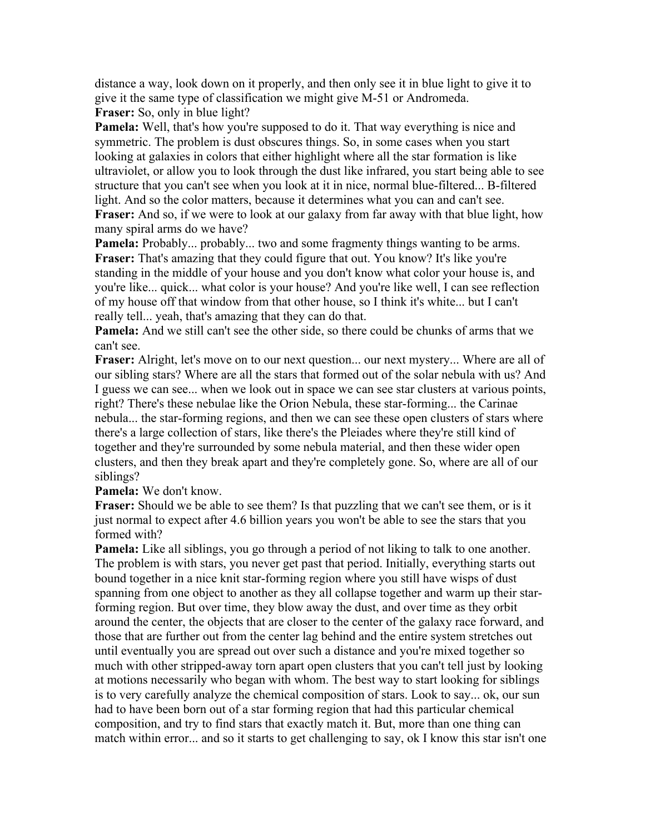distance a way, look down on it properly, and then only see it in blue light to give it to give it the same type of classification we might give M-51 or Andromeda. **Fraser:** So, only in blue light?

**Pamela:** Well, that's how you're supposed to do it. That way everything is nice and symmetric. The problem is dust obscures things. So, in some cases when you start looking at galaxies in colors that either highlight where all the star formation is like ultraviolet, or allow you to look through the dust like infrared, you start being able to see structure that you can't see when you look at it in nice, normal blue-filtered... B-filtered light. And so the color matters, because it determines what you can and can't see. **Fraser:** And so, if we were to look at our galaxy from far away with that blue light, how

many spiral arms do we have?

**Pamela:** Probably... probably... two and some fragmenty things wanting to be arms. **Fraser:** That's amazing that they could figure that out. You know? It's like you're standing in the middle of your house and you don't know what color your house is, and you're like... quick... what color is your house? And you're like well, I can see reflection of my house off that window from that other house, so I think it's white... but I can't really tell... yeah, that's amazing that they can do that.

**Pamela:** And we still can't see the other side, so there could be chunks of arms that we can't see.

**Fraser:** Alright, let's move on to our next question... our next mystery... Where are all of our sibling stars? Where are all the stars that formed out of the solar nebula with us? And I guess we can see... when we look out in space we can see star clusters at various points, right? There's these nebulae like the Orion Nebula, these star-forming... the Carinae nebula... the star-forming regions, and then we can see these open clusters of stars where there's a large collection of stars, like there's the Pleiades where they're still kind of together and they're surrounded by some nebula material, and then these wider open clusters, and then they break apart and they're completely gone. So, where are all of our siblings?

**Pamela:** We don't know.

**Fraser:** Should we be able to see them? Is that puzzling that we can't see them, or is it just normal to expect after 4.6 billion years you won't be able to see the stars that you formed with?

**Pamela:** Like all siblings, you go through a period of not liking to talk to one another. The problem is with stars, you never get past that period. Initially, everything starts out bound together in a nice knit star-forming region where you still have wisps of dust spanning from one object to another as they all collapse together and warm up their starforming region. But over time, they blow away the dust, and over time as they orbit around the center, the objects that are closer to the center of the galaxy race forward, and those that are further out from the center lag behind and the entire system stretches out until eventually you are spread out over such a distance and you're mixed together so much with other stripped-away torn apart open clusters that you can't tell just by looking at motions necessarily who began with whom. The best way to start looking for siblings is to very carefully analyze the chemical composition of stars. Look to say... ok, our sun had to have been born out of a star forming region that had this particular chemical composition, and try to find stars that exactly match it. But, more than one thing can match within error... and so it starts to get challenging to say, ok I know this star isn't one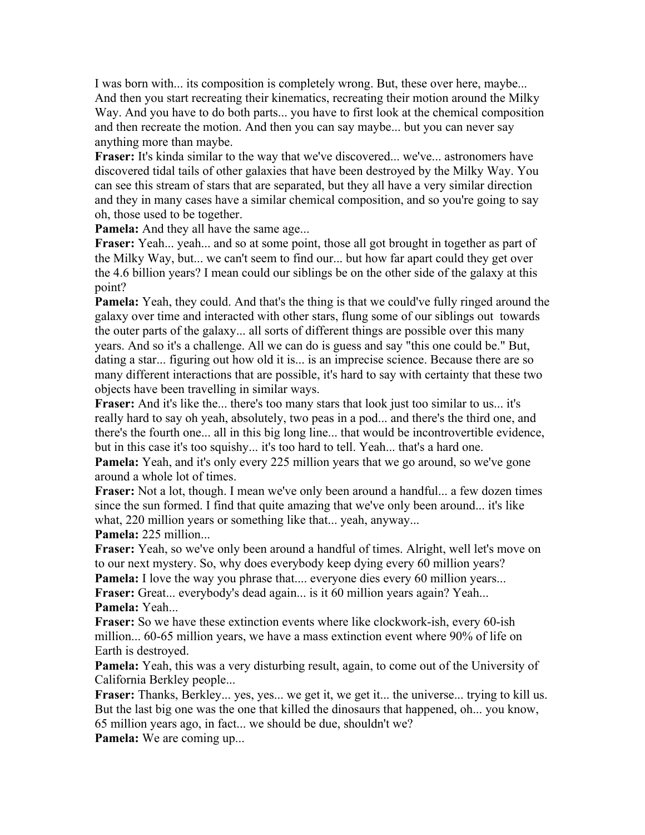I was born with... its composition is completely wrong. But, these over here, maybe... And then you start recreating their kinematics, recreating their motion around the Milky Way. And you have to do both parts... you have to first look at the chemical composition and then recreate the motion. And then you can say maybe... but you can never say anything more than maybe.

**Fraser:** It's kinda similar to the way that we've discovered... we've... astronomers have discovered tidal tails of other galaxies that have been destroyed by the Milky Way. You can see this stream of stars that are separated, but they all have a very similar direction and they in many cases have a similar chemical composition, and so you're going to say oh, those used to be together.

**Pamela:** And they all have the same age...

Fraser: Yeah... yeah... and so at some point, those all got brought in together as part of the Milky Way, but... we can't seem to find our... but how far apart could they get over the 4.6 billion years? I mean could our siblings be on the other side of the galaxy at this point?

**Pamela:** Yeah, they could. And that's the thing is that we could've fully ringed around the galaxy over time and interacted with other stars, flung some of our siblings out towards the outer parts of the galaxy... all sorts of different things are possible over this many years. And so it's a challenge. All we can do is guess and say "this one could be." But, dating a star... figuring out how old it is... is an imprecise science. Because there are so many different interactions that are possible, it's hard to say with certainty that these two objects have been travelling in similar ways.

**Fraser:** And it's like the... there's too many stars that look just too similar to us... it's really hard to say oh yeah, absolutely, two peas in a pod... and there's the third one, and there's the fourth one... all in this big long line... that would be incontrovertible evidence, but in this case it's too squishy... it's too hard to tell. Yeah... that's a hard one.

**Pamela:** Yeah, and it's only every 225 million years that we go around, so we've gone around a whole lot of times.

**Fraser:** Not a lot, though. I mean we've only been around a handful... a few dozen times since the sun formed. I find that quite amazing that we've only been around... it's like what, 220 million years or something like that... yeah, anyway... **Pamela:** 225 million...

**Fraser:** Yeah, so we've only been around a handful of times. Alright, well let's move on to our next mystery. So, why does everybody keep dying every 60 million years?

**Pamela:** I love the way you phrase that.... everyone dies every 60 million years... **Fraser:** Great... everybody's dead again... is it 60 million years again? Yeah... **Pamela:** Yeah...

**Fraser:** So we have these extinction events where like clockwork-ish, every 60-ish million... 60-65 million years, we have a mass extinction event where 90% of life on Earth is destroyed.

**Pamela:** Yeah, this was a very disturbing result, again, to come out of the University of California Berkley people...

**Fraser:** Thanks, Berkley... yes, yes... we get it, we get it... the universe... trying to kill us. But the last big one was the one that killed the dinosaurs that happened, oh... you know, 65 million years ago, in fact... we should be due, shouldn't we?

**Pamela:** We are coming up...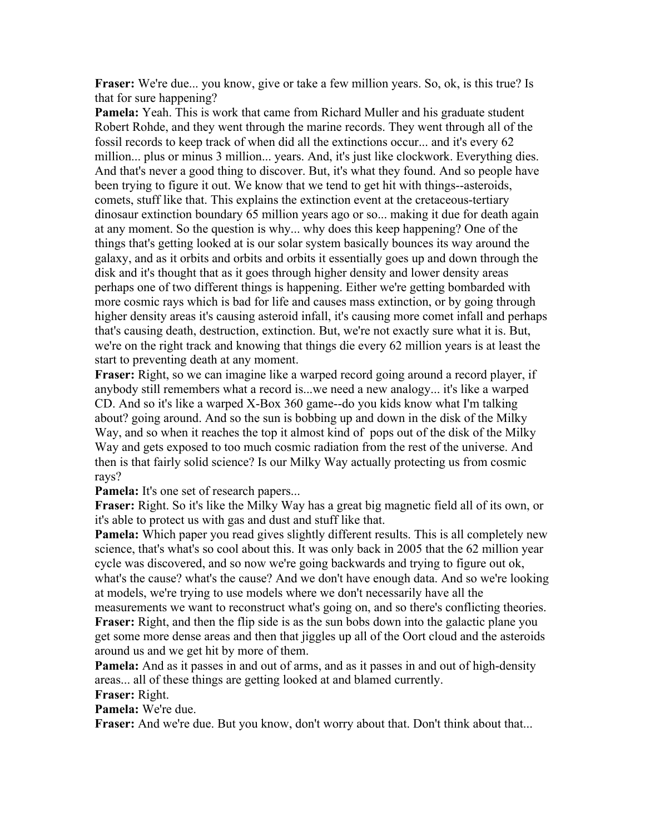**Fraser:** We're due... you know, give or take a few million years. So, ok, is this true? Is that for sure happening?

**Pamela:** Yeah. This is work that came from Richard Muller and his graduate student Robert Rohde, and they went through the marine records. They went through all of the fossil records to keep track of when did all the extinctions occur... and it's every 62 million... plus or minus 3 million... years. And, it's just like clockwork. Everything dies. And that's never a good thing to discover. But, it's what they found. And so people have been trying to figure it out. We know that we tend to get hit with things--asteroids, comets, stuff like that. This explains the extinction event at the cretaceous-tertiary dinosaur extinction boundary 65 million years ago or so... making it due for death again at any moment. So the question is why... why does this keep happening? One of the things that's getting looked at is our solar system basically bounces its way around the galaxy, and as it orbits and orbits and orbits it essentially goes up and down through the disk and it's thought that as it goes through higher density and lower density areas perhaps one of two different things is happening. Either we're getting bombarded with more cosmic rays which is bad for life and causes mass extinction, or by going through higher density areas it's causing asteroid infall, it's causing more comet infall and perhaps that's causing death, destruction, extinction. But, we're not exactly sure what it is. But, we're on the right track and knowing that things die every 62 million years is at least the start to preventing death at any moment.

**Fraser:** Right, so we can imagine like a warped record going around a record player, if anybody still remembers what a record is...we need a new analogy... it's like a warped CD. And so it's like a warped X-Box 360 game--do you kids know what I'm talking about? going around. And so the sun is bobbing up and down in the disk of the Milky Way, and so when it reaches the top it almost kind of pops out of the disk of the Milky Way and gets exposed to too much cosmic radiation from the rest of the universe. And then is that fairly solid science? Is our Milky Way actually protecting us from cosmic rays?

**Pamela:** It's one set of research papers...

**Fraser:** Right. So it's like the Milky Way has a great big magnetic field all of its own, or it's able to protect us with gas and dust and stuff like that.

**Pamela:** Which paper you read gives slightly different results. This is all completely new science, that's what's so cool about this. It was only back in 2005 that the 62 million year cycle was discovered, and so now we're going backwards and trying to figure out ok, what's the cause? what's the cause? And we don't have enough data. And so we're looking at models, we're trying to use models where we don't necessarily have all the

measurements we want to reconstruct what's going on, and so there's conflicting theories. **Fraser:** Right, and then the flip side is as the sun bobs down into the galactic plane you get some more dense areas and then that jiggles up all of the Oort cloud and the asteroids around us and we get hit by more of them.

**Pamela:** And as it passes in and out of arms, and as it passes in and out of high-density areas... all of these things are getting looked at and blamed currently.

**Fraser:** Right.

**Pamela:** We're due.

Fraser: And we're due. But you know, don't worry about that. Don't think about that...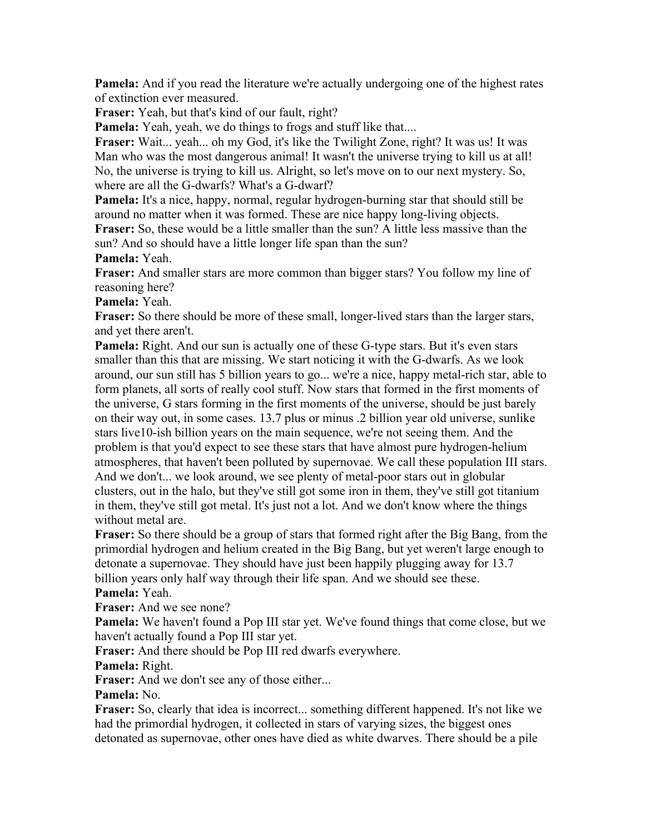**Pamela:** And if you read the literature we're actually undergoing one of the highest rates of extinction ever measured.

**Fraser:** Yeah, but that's kind of our fault, right?

Pamela: Yeah, yeah, we do things to frogs and stuff like that....

**Fraser:** Wait... yeah... oh my God, it's like the Twilight Zone, right? It was us! It was Man who was the most dangerous animal! It wasn't the universe trying to kill us at all! No, the universe is trying to kill us. Alright, so let's move on to our next mystery. So, where are all the G-dwarfs? What's a G-dwarf?

**Pamela:** It's a nice, happy, normal, regular hydrogen-burning star that should still be around no matter when it was formed. These are nice happy long-living objects.

**Fraser:** So, these would be a little smaller than the sun? A little less massive than the sun? And so should have a little longer life span than the sun?

**Pamela:** Yeah.

**Fraser:** And smaller stars are more common than bigger stars? You follow my line of reasoning here?

**Pamela:** Yeah.

**Fraser:** So there should be more of these small, longer-lived stars than the larger stars, and yet there aren't.

**Pamela:** Right. And our sun is actually one of these G-type stars. But it's even stars smaller than this that are missing. We start noticing it with the G-dwarfs. As we look around, our sun still has 5 billion years to go... we're a nice, happy metal-rich star, able to form planets, all sorts of really cool stuff. Now stars that formed in the first moments of the universe, G stars forming in the first moments of the universe, should be just barely on their way out, in some cases. 13.7 plus or minus .2 billion year old universe, sunlike stars live10-ish billion years on the main sequence, we're not seeing them. And the problem is that you'd expect to see these stars that have almost pure hydrogen-helium atmospheres, that haven't been polluted by supernovae. We call these population III stars. And we don't... we look around, we see plenty of metal-poor stars out in globular clusters, out in the halo, but they've still got some iron in them, they've still got titanium in them, they've still got metal. It's just not a lot. And we don't know where the things without metal are.

**Fraser:** So there should be a group of stars that formed right after the Big Bang, from the primordial hydrogen and helium created in the Big Bang, but yet weren't large enough to detonate a supernovae. They should have just been happily plugging away for 13.7 billion years only half way through their life span. And we should see these. **Pamela:** Yeah.

**Fraser:** And we see none?

**Pamela:** We haven't found a Pop III star yet. We've found things that come close, but we haven't actually found a Pop III star yet.

**Fraser:** And there should be Pop III red dwarfs everywhere.

**Pamela:** Right.

Fraser: And we don't see any of those either...

**Pamela:** No.

**Fraser:** So, clearly that idea is incorrect... something different happened. It's not like we had the primordial hydrogen, it collected in stars of varying sizes, the biggest ones detonated as supernovae, other ones have died as white dwarves. There should be a pile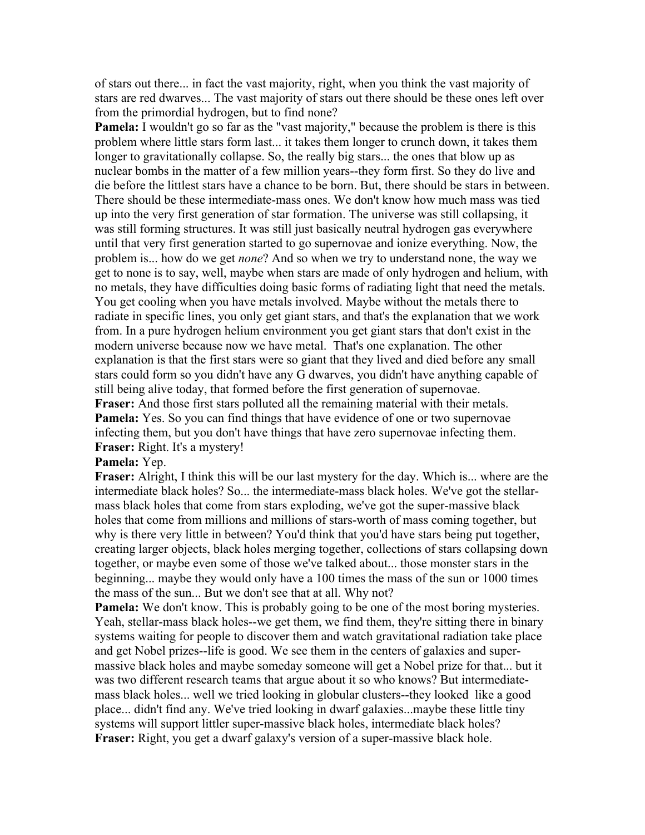of stars out there... in fact the vast majority, right, when you think the vast majority of stars are red dwarves... The vast majority of stars out there should be these ones left over from the primordial hydrogen, but to find none?

**Pamela:** I wouldn't go so far as the "vast majority," because the problem is there is this problem where little stars form last... it takes them longer to crunch down, it takes them longer to gravitationally collapse. So, the really big stars... the ones that blow up as nuclear bombs in the matter of a few million years--they form first. So they do live and die before the littlest stars have a chance to be born. But, there should be stars in between. There should be these intermediate-mass ones. We don't know how much mass was tied up into the very first generation of star formation. The universe was still collapsing, it was still forming structures. It was still just basically neutral hydrogen gas everywhere until that very first generation started to go supernovae and ionize everything. Now, the problem is... how do we get *none*? And so when we try to understand none, the way we get to none is to say, well, maybe when stars are made of only hydrogen and helium, with no metals, they have difficulties doing basic forms of radiating light that need the metals. You get cooling when you have metals involved. Maybe without the metals there to radiate in specific lines, you only get giant stars, and that's the explanation that we work from. In a pure hydrogen helium environment you get giant stars that don't exist in the modern universe because now we have metal. That's one explanation. The other explanation is that the first stars were so giant that they lived and died before any small stars could form so you didn't have any G dwarves, you didn't have anything capable of still being alive today, that formed before the first generation of supernovae. **Fraser:** And those first stars polluted all the remaining material with their metals. **Pamela:** Yes. So you can find things that have evidence of one or two supernovae

infecting them, but you don't have things that have zero supernovae infecting them. **Fraser:** Right. It's a mystery!

## **Pamela:** Yep.

**Fraser:** Alright, I think this will be our last mystery for the day. Which is... where are the intermediate black holes? So... the intermediate-mass black holes. We've got the stellarmass black holes that come from stars exploding, we've got the super-massive black holes that come from millions and millions of stars-worth of mass coming together, but why is there very little in between? You'd think that you'd have stars being put together, creating larger objects, black holes merging together, collections of stars collapsing down together, or maybe even some of those we've talked about... those monster stars in the beginning... maybe they would only have a 100 times the mass of the sun or 1000 times the mass of the sun... But we don't see that at all. Why not?

**Pamela:** We don't know. This is probably going to be one of the most boring mysteries. Yeah, stellar-mass black holes--we get them, we find them, they're sitting there in binary systems waiting for people to discover them and watch gravitational radiation take place and get Nobel prizes--life is good. We see them in the centers of galaxies and supermassive black holes and maybe someday someone will get a Nobel prize for that... but it was two different research teams that argue about it so who knows? But intermediatemass black holes... well we tried looking in globular clusters--they looked like a good place... didn't find any. We've tried looking in dwarf galaxies...maybe these little tiny systems will support littler super-massive black holes, intermediate black holes? **Fraser:** Right, you get a dwarf galaxy's version of a super-massive black hole.